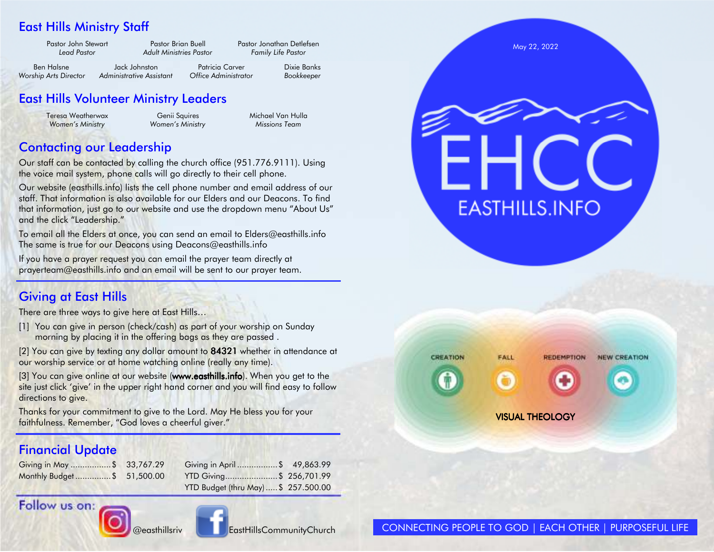## East Hills Ministry Staff

| Pastor John Stewart<br>Lead Pastor | Pastor Brian Buell<br><b>Adult Ministries Pastor</b> |                      | Pastor Jonathan Detlefsen<br><b>Family Life Pastor</b> |
|------------------------------------|------------------------------------------------------|----------------------|--------------------------------------------------------|
| Ben Halsne                         | Jack Johnston                                        | Patricia Carver      | Dixie Banks                                            |
| Worship Arts Director              | Administrative Assistant                             | Office Administrator | Bookkeeper                                             |

## East Hills Volunteer Ministry Leaders

Teresa Weatherwax **Genii Squires** Michael Van Hulla  *Women's Ministry Women's Ministry Missions Team* 

## Contacting our Leadership

Our staff can be contacted by calling the church office (951.776.9111). Using the voice mail system, phone calls will go directly to their cell phone.

Our website (easthills.info) lists the cell phone number and email address of our staff. That information is also available for our Elders and our Deacons. To find that information, just go to our website and use the dropdown menu "About Us" and the click "Leadership."

To email all the Elders at once, you can send an email to Elders@easthills.info The same is true for our Deacons using Deacons@easthills.info

If you have a prayer request you can email the prayer team directly at prayerteam@easthills.info and an email will be sent to our prayer team.

## Giving at East Hills

There are three ways to give here at East Hills...

- [1] You can give in person (check/cash) as part of your worship on Sunday morning by placing it in the offering bags as they are passed .
- $[2]$  You can give by texting any dollar amount to **84321** whether in attendance at our worship service or at home watching online (really any time).

[3] You can give online at our website (**www.easthills.info**). When you get to the site just click 'give' in the upper right hand corner and you will find easy to follow directions to give.

Thanks for your commitment to give to the Lord. May He bless you for your faithfulness. Remember, "God loves a cheerful giver."

## Financial Update

| Giving in May \$ 33,767  |  |
|--------------------------|--|
| Monthly Budget \$ 51,500 |  |

| Giving in May \$ 33,767.29  | Giving in April  \$49,863.99       |  |
|-----------------------------|------------------------------------|--|
| Monthly Budget \$ 51,500.00 | YTD Giving\$ 256,701.99            |  |
|                             | YTD Budget (thru May) \$257.500.00 |  |





@easthillsriv Louis EastHillsCommunityChurch



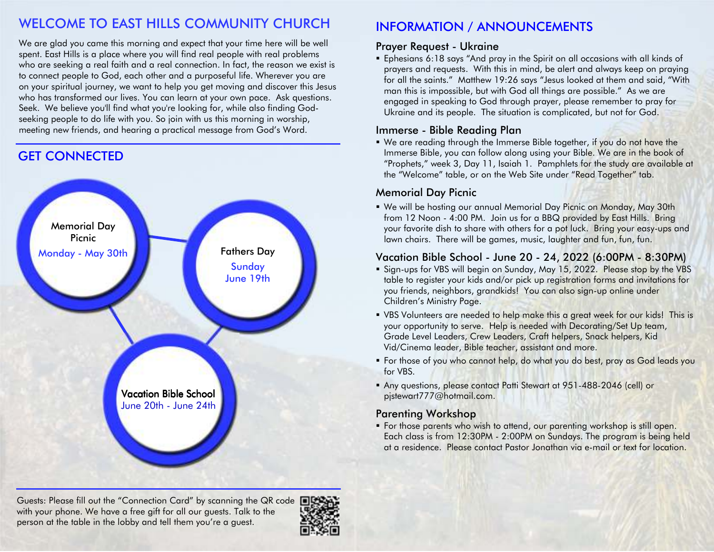## WELCOME TO EAST HILLS COMMUNITY CHURCH

We are glad you came this morning and expect that your time here will be well spent. East Hills is a place where you will find real people with real problems who are seeking a real faith and a real connection. In fact, the reason we exist is to connect people to God, each other and a purposeful life. Wherever you are on your spiritual journey, we want to help you get moving and discover this Jesus who has transformed our lives. You can learn at your own pace. Ask questions. Seek. We believe you'll find what you're looking for, while also finding Godseeking people to do life with you. So join with us this morning in worship, meeting new friends, and hearing a practical message from God's Word.

## **GET CONNECTED**



#### Guests: Please fill out the "Connection Card" by scanning the QR code with your phone. We have a free gift for all our guests. Talk to the person at the table in the lobby and tell them you're a guest.



## INFORMATION / ANNOUNCEMENTS

#### Prayer Request - Ukraine

 Ephesians 6:18 says "And pray in the Spirit on all occasions with all kinds of prayers and requests. With this in mind, be alert and always keep on praying for all the saints." Matthew 19:26 says "Jesus looked at them and said, "With man this is impossible, but with God all things are possible." As we are engaged in speaking to God through prayer, please remember to pray for Ukraine and its people. The situation is complicated, but not for God.

#### Immerse - Bible Reading Plan

■ We are reading through the Immerse Bible together, if you do not have the Immerse Bible, you can follow along using your Bibl<mark>e. We are in the book</mark> of "Prophets," week 3, Day 11, Isaiah 1. Pamphlets for the study are available at the "Welcome" table, or on the Web Site under "Read Together" tab.

#### Memorial Day Picnic

■ We will be hosting our annual Memorial Day Picnic on Monday, May 30th from 12 Noon - 4:00 PM. Join us for a BBQ provided by East Hills. Bring your favorite dish to share with others for a pot luck. Bring your easy-ups and lawn chairs. There will be games, music, laughter and fun, fun, fun.

## Vacation Bible School - June 20 - 24, 2022 (6:00PM - 8:30PM)

- Sign-ups for VBS will begin on Sunday, May 15, 2022. Please stop by the VBS table to register your kids and/or pick up registration forms and invitations for you friends, neighbors, grandkids! You can also sign-up online under Children's Ministry Page.
- VBS Volunteers are needed to help make this a great week for our kids! This is your opportunity to serve. Help is needed with Decorating/Set Up team, Grade Level Leaders, Crew Leaders, Craft helpers, Snack helpers, Kid Vid/Cinema leader, Bible teacher, assistant and more.
- For those of you who cannot help, do what you do best, pray as God leads you for VBS.
- Any questions, please contact Patti Stewart at 951-488-2046 (cell) or pjstewart777@hotmail.com.

#### Parenting Workshop

**F** For those parents who wish to attend, our parenting workshop is still open. Each class is from 12:30PM - 2:00PM on Sundays. The program is being held at a residence. Please contact Pastor Jonathan via e-mail or text for location.